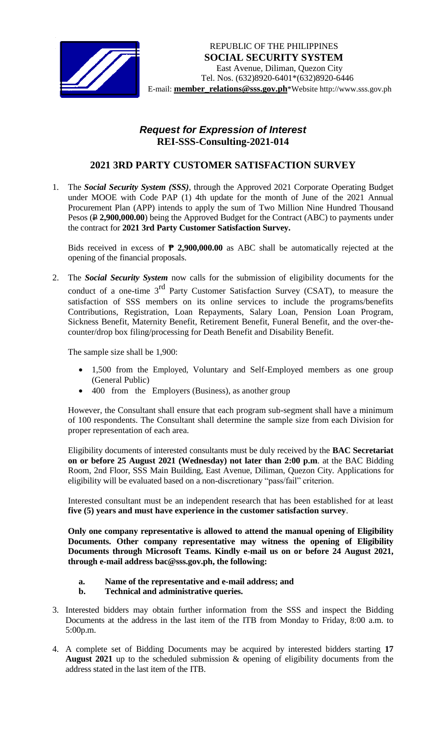

## *Request for Expression of Interest*  **REI-SSS-Consulting-2021-014**

## **2021 3RD PARTY CUSTOMER SATISFACTION SURVEY**

1. The *Social Security System (SSS)*, through the Approved 2021 Corporate Operating Budget under MOOE with Code PAP (1) 4th update for the month of June of the 2021 Annual Procurement Plan (APP) intends to apply the sum of Two Million Nine Hundred Thousand Pesos ( $\angle$  **2,900,000.00**) being the Approved Budget for the Contract (ABC) to payments under the contract for **2021 3rd Party Customer Satisfaction Survey.**

Bids received in excess of **₱ 2,900,000.00** as ABC shall be automatically rejected at the opening of the financial proposals.

2. The *Social Security System* now calls for the submission of eligibility documents for the conduct of a one-time 3<sup>rd</sup> Party Customer Satisfaction Survey (CSAT), to measure the satisfaction of SSS members on its online services to include the programs/benefits Contributions, Registration, Loan Repayments, Salary Loan, Pension Loan Program, Sickness Benefit, Maternity Benefit, Retirement Benefit, Funeral Benefit, and the over-thecounter/drop box filing/processing for Death Benefit and Disability Benefit.

The sample size shall be 1,900:

- 1,500 from the Employed, Voluntary and Self-Employed members as one group (General Public)
- 400 from the Employers (Business), as another group

However, the Consultant shall ensure that each program sub-segment shall have a minimum of 100 respondents. The Consultant shall determine the sample size from each Division for proper representation of each area.

Eligibility documents of interested consultants must be duly received by the **BAC Secretariat on or before 25 August 2021 (Wednesday) not later than 2:00 p.m**. at the BAC Bidding Room, 2nd Floor, SSS Main Building, East Avenue, Diliman, Quezon City. Applications for eligibility will be evaluated based on a non-discretionary "pass/fail" criterion.

Interested consultant must be an independent research that has been established for at least **five (5) years and must have experience in the customer satisfaction survey**.

**Only one company representative is allowed to attend the manual opening of Eligibility Documents. Other company representative may witness the opening of Eligibility Documents through Microsoft Teams. Kindly e-mail us on or before 24 August 2021, through e-mail address bac@sss.gov.ph, the following:**

## **a. Name of the representative and e-mail address; and**

- **b. Technical and administrative queries.**
- 3. Interested bidders may obtain further information from the SSS and inspect the Bidding Documents at the address in the last item of the ITB from Monday to Friday, 8:00 a.m. to 5:00p.m.
- 4. A complete set of Bidding Documents may be acquired by interested bidders starting **17 August 2021** up to the scheduled submission & opening of eligibility documents from the address stated in the last item of the ITB.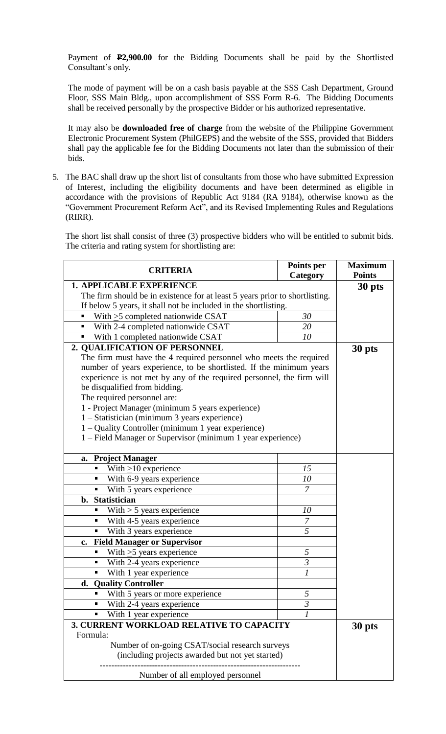Payment of **P2,900.00** for the Bidding Documents shall be paid by the Shortlisted Consultant's only.

The mode of payment will be on a cash basis payable at the SSS Cash Department, Ground Floor, SSS Main Bldg., upon accomplishment of SSS Form R-6. The Bidding Documents shall be received personally by the prospective Bidder or his authorized representative.

It may also be **downloaded free of charge** from the website of the Philippine Government Electronic Procurement System (PhilGEPS) and the website of the SSS*,* provided that Bidders shall pay the applicable fee for the Bidding Documents not later than the submission of their bids.

5. The BAC shall draw up the short list of consultants from those who have submitted Expression of Interest, including the eligibility documents and have been determined as eligible in accordance with the provisions of Republic Act 9184 (RA 9184), otherwise known as the "Government Procurement Reform Act", and its Revised Implementing Rules and Regulations (RIRR).

The short list shall consist of three (3) prospective bidders who will be entitled to submit bids. The criteria and rating system for shortlisting are:

| <b>CRITERIA</b>                                                             | Points per<br>Category    | <b>Maximum</b><br><b>Points</b> |  |  |
|-----------------------------------------------------------------------------|---------------------------|---------------------------------|--|--|
| <b>1. APPLICABLE EXPERIENCE</b>                                             | 30 pts                    |                                 |  |  |
| The firm should be in existence for at least 5 years prior to shortlisting. |                           |                                 |  |  |
| If below 5 years, it shall not be included in the shortlisting.             |                           |                                 |  |  |
| With $\geq$ 5 completed nationwide CSAT<br>٠                                | 30                        |                                 |  |  |
| With 2-4 completed nationwide CSAT<br>٠                                     | 20                        |                                 |  |  |
| With 1 completed nationwide CSAT<br>٠                                       | 10                        |                                 |  |  |
| 2. QUALIFICATION OF PERSONNEL                                               |                           | 30 pts                          |  |  |
| The firm must have the 4 required personnel who meets the required          |                           |                                 |  |  |
| number of years experience, to be shortlisted. If the minimum years         |                           |                                 |  |  |
| experience is not met by any of the required personnel, the firm will       |                           |                                 |  |  |
| be disqualified from bidding.                                               |                           |                                 |  |  |
| The required personnel are:                                                 |                           |                                 |  |  |
| 1 - Project Manager (minimum 5 years experience)                            |                           |                                 |  |  |
| 1 - Statistician (minimum 3 years experience)                               |                           |                                 |  |  |
| 1 – Quality Controller (minimum 1 year experience)                          |                           |                                 |  |  |
| 1 – Field Manager or Supervisor (minimum 1 year experience)                 |                           |                                 |  |  |
|                                                                             |                           |                                 |  |  |
| <b>Project Manager</b><br>a.                                                |                           |                                 |  |  |
| With $\geq$ 10 experience<br>ш                                              | 15                        |                                 |  |  |
| With 6-9 years experience<br>п                                              | 10                        |                                 |  |  |
| With 5 years experience<br>٠                                                | $\overline{7}$            |                                 |  |  |
| b. Statistician                                                             |                           |                                 |  |  |
| With $> 5$ years experience<br>٠                                            | 10                        |                                 |  |  |
| With 4-5 years experience<br>٠                                              | $\overline{7}$            |                                 |  |  |
| With 3 years experience<br>٠                                                | $\overline{5}$            |                                 |  |  |
| <b>Field Manager or Supervisor</b><br>$c_{\bullet}$                         |                           |                                 |  |  |
| With $\geq$ 5 years experience<br>٠                                         | 5                         |                                 |  |  |
| With 2-4 years experience<br>٠                                              | $\overline{\mathfrak{z}}$ |                                 |  |  |
| With 1 year experience<br>٠                                                 | 1                         |                                 |  |  |
| d. Quality Controller                                                       |                           |                                 |  |  |
| With 5 years or more experience<br>п                                        | 5                         |                                 |  |  |
| With 2-4 years experience<br>п                                              | $\overline{3}$            |                                 |  |  |
| With 1 year experience                                                      | 1                         |                                 |  |  |
| 3. CURRENT WORKLOAD RELATIVE TO CAPACITY                                    | 30 pts                    |                                 |  |  |
| Formula:                                                                    |                           |                                 |  |  |
| Number of on-going CSAT/social research surveys                             |                           |                                 |  |  |
| (including projects awarded but not yet started)                            |                           |                                 |  |  |
| Number of all employed personnel                                            |                           |                                 |  |  |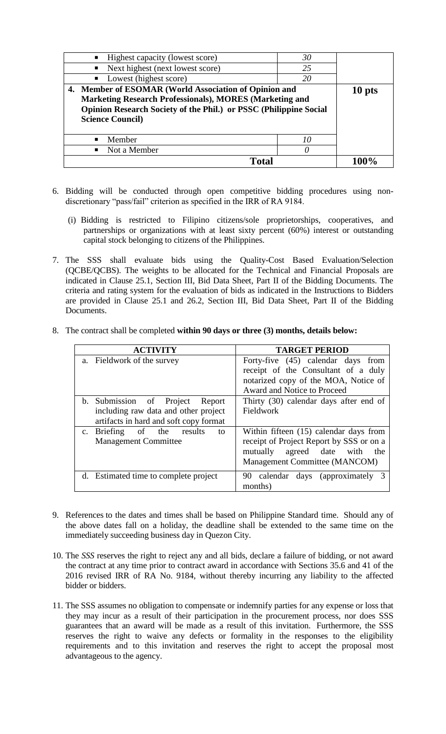| • Highest capacity (lowest score)<br>• Next highest (next lowest score)<br>Lowest (highest score)<br>$\blacksquare$                                                                                                     | 30<br>25<br>20 |  |
|-------------------------------------------------------------------------------------------------------------------------------------------------------------------------------------------------------------------------|----------------|--|
| 4. Member of ESOMAR (World Association of Opinion and<br><b>Marketing Research Professionals), MORES (Marketing and</b><br>Opinion Research Society of the Phil.) or PSSC (Philippine Social<br><b>Science Council)</b> | 10 pts         |  |
| Member<br>$\blacksquare$                                                                                                                                                                                                | 10             |  |
| Not a Member<br>$\blacksquare$                                                                                                                                                                                          |                |  |
| Total                                                                                                                                                                                                                   |                |  |

- 6. Bidding will be conducted through open competitive bidding procedures using nondiscretionary "pass/fail" criterion as specified in the IRR of RA 9184.
	- (i) Bidding is restricted to Filipino citizens/sole proprietorships, cooperatives, and partnerships or organizations with at least sixty percent (60%) interest or outstanding capital stock belonging to citizens of the Philippines.
- 7. The SSS shall evaluate bids using the Quality-Cost Based Evaluation/Selection (QCBE/QCBS). The weights to be allocated for the Technical and Financial Proposals are indicated in Clause 25.1, Section III, Bid Data Sheet, Part II of the Bidding Documents. The criteria and rating system for the evaluation of bids as indicated in the Instructions to Bidders are provided in Clause 25.1 and 26.2, Section III, Bid Data Sheet, Part II of the Bidding Documents.
- 8. The contract shall be completed **within 90 days or three (3) months, details below:**

| <b>ACTIVITY</b>                        |               | <b>TARGET PERIOD</b>                                                      |
|----------------------------------------|---------------|---------------------------------------------------------------------------|
| a. Fieldwork of the survey             |               | Forty-five (45) calendar days from<br>receipt of the Consultant of a duly |
|                                        |               | notarized copy of the MOA, Notice of                                      |
|                                        |               | Award and Notice to Proceed                                               |
| b. Submission of Project Report        |               | Thirty (30) calendar days after end of                                    |
| including raw data and other project   |               | Fieldwork                                                                 |
| artifacts in hard and soft copy format |               |                                                                           |
| c. Briefing of the                     | results<br>to | Within fifteen (15) calendar days from                                    |
| <b>Management Committee</b>            |               | receipt of Project Report by SSS or on a                                  |
|                                        |               | agreed date with<br>mutually<br>the                                       |
|                                        |               | Management Committee (MANCOM)                                             |
| d. Estimated time to complete project  |               | 90 calendar days (approximately 3<br>months)                              |

- 9. References to the dates and times shall be based on Philippine Standard time. Should any of the above dates fall on a holiday, the deadline shall be extended to the same time on the immediately succeeding business day in Quezon City.
- 10. The *SSS* reserves the right to reject any and all bids, declare a failure of bidding, or not award the contract at any time prior to contract award in accordance with Sections 35.6 and 41 of the 2016 revised IRR of RA No. 9184, without thereby incurring any liability to the affected bidder or bidders.
- 11. The SSS assumes no obligation to compensate or indemnify parties for any expense or loss that they may incur as a result of their participation in the procurement process, nor does SSS guarantees that an award will be made as a result of this invitation. Furthermore, the SSS reserves the right to waive any defects or formality in the responses to the eligibility requirements and to this invitation and reserves the right to accept the proposal most advantageous to the agency.